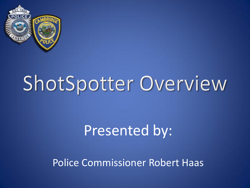

# ShotSpotter Overview

# Presented by:

Police Commissioner Robert Haas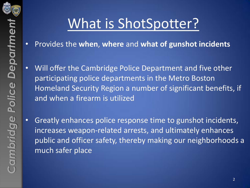# What is ShotSpotter?

- Provides the **when**, **where** and **what of gunshot incidents**
- Will offer the Cambridge Police Department and five other participating police departments in the Metro Boston Homeland Security Region a number of significant benefits, if and when a firearm is utilized
- Greatly enhances police response time to gunshot incidents, increases weapon-related arrests, and ultimately enhances public and officer safety, thereby making our neighborhoods a much safer place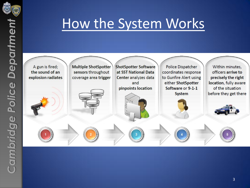

#### How the System Works

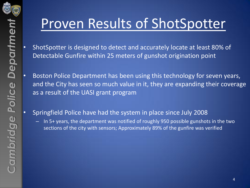## Proven Results of ShotSpotter

- ShotSpotter is designed to detect and accurately locate at least 80% of Detectable Gunfire within 25 meters of gunshot origination point
- Boston Police Department has been using this technology for seven years, and the City has seen so much value in it, they are expanding their coverage as a result of the UASI grant program
	- Springfield Police have had the system in place since July 2008
		- In 5+ years, the department was notified of roughly 950 possible gunshots in the two sections of the city with sensors; Approximately 89% of the gunfire was verified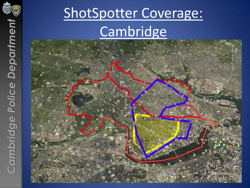

# ShotSpotter Coverage: **Cambridge**